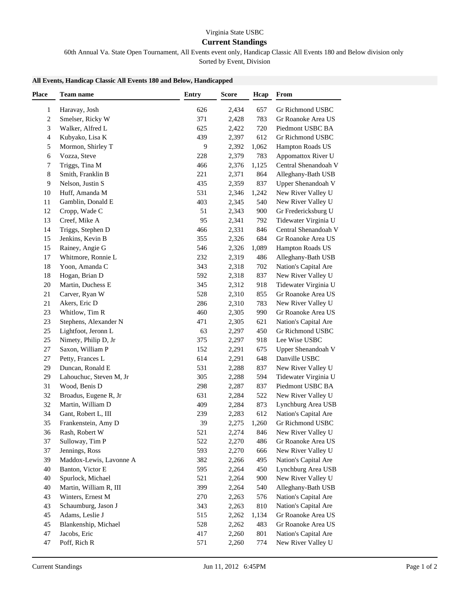## Virginia State USBC

## **Current Standings**

60th Annual Va. State Open Tournament, All Events event only, Handicap Classic All Events 180 and Below division only

Sorted by Event, Division

## **All Events, Handicap Classic All Events 180 and Below, Handicapped**

| <b>Place</b>   | Team name                                   | <b>Entry</b> | <b>Score</b> | Hcap  | From                 |
|----------------|---------------------------------------------|--------------|--------------|-------|----------------------|
| $\mathbf{1}$   | Haravay, Josh                               | 626          | 2,434        | 657   | Gr Richmond USBC     |
| $\overline{c}$ | Smelser, Ricky W                            | 371          | 2,428        | 783   | Gr Roanoke Area US   |
| 3              | Walker, Alfred L                            | 625          | 2,422        | 720   | Piedmont USBC BA     |
| 4              | Kubyako, Lisa K                             | 439          | 2,397        | 612   | Gr Richmond USBC     |
| 5              | Mormon, Shirley T                           | 9            | 2,392        | 1,062 | Hampton Roads US     |
| 6              | Vozza, Steve                                | 228          | 2,379        | 783   | Appomattox River U   |
| 7              | Triggs, Tina M                              | 466          | 2,376        | 1,125 | Central Shenandoah V |
| 8              | Smith, Franklin B                           | 221          | 2,371        | 864   | Alleghany-Bath USB   |
| 9              | Nelson, Justin S                            | 435          | 2,359        | 837   | Upper Shenandoah V   |
| 10             | Huff, Amanda M                              | 531          | 2,346        | 1,242 | New River Valley U   |
| 11             | Gamblin, Donald E                           | 403          | 2,345        | 540   | New River Valley U   |
| 12             | Cropp, Wade C                               | 51           | 2,343        | 900   | Gr Fredericksburg U  |
| 13             | Creef, Mike A                               | 95           | 2,341        | 792   | Tidewater Virginia U |
| 14             | Triggs, Stephen D                           | 466          | 2,331        | 846   | Central Shenandoah V |
| 15             | Jenkins, Kevin B                            | 355          | 2,326        | 684   | Gr Roanoke Area US   |
| 15             | Rainey, Angie G                             | 546          | 2,326        | 1,089 | Hampton Roads US     |
| 17             | Whitmore, Ronnie L                          | 232          | 2,319        | 486   | Alleghany-Bath USB   |
| 18             | Yoon, Amanda C                              | 343          | 2,318        | 702   | Nation's Capital Are |
| 18             | Hogan, Brian D                              | 592          | 2,318        | 837   | New River Valley U   |
| 20             | Martin, Duchess E                           | 345          | 2,312        | 918   | Tidewater Virginia U |
| 21             | Carver, Ryan W                              | 528          | 2,310        | 855   | Gr Roanoke Area US   |
| 21             | Akers, Eric D                               | 286          | 2,310        | 783   | New River Valley U   |
| 23             | Whitlow, Tim R                              | 460          | 2,305        | 990   | Gr Roanoke Area US   |
| 23             | Stephens, Alexander N                       | 471          | 2,305        | 621   | Nation's Capital Are |
| 25             | Lightfoot, Jeronn L                         | 63           | 2,297        | 450   | Gr Richmond USBC     |
| 25             | Nimety, Philip D, Jr                        | 375          | 2,297        | 918   | Lee Wise USBC        |
| $27\,$         | Saxon, William P                            | 152          | 2,291        | 675   | Upper Shenandoah V   |
| $27\,$         | Petty, Frances L                            | 614          | 2,291        | 648   | Danville USBC        |
| 29             | Duncan, Ronald E                            | 531          | 2,288        | 837   | New River Valley U   |
| 29             | Lahouchuc, Steven M, Jr                     | 305          | 2,288        | 594   | Tidewater Virginia U |
| 31             | Wood, Benis D                               | 298          | 2,287        | 837   | Piedmont USBC BA     |
| 32             | Broadus, Eugene R, Jr                       | 631          | 2,284        | 522   | New River Valley U   |
| 32             | Martin, William D                           | 409          | 2,284        | 873   | Lynchburg Area USB   |
| 34             | Gant, Robert L, III                         | 239          | 2,283        | 612   | Nation's Capital Are |
| 35             | Frankenstein, Amy D                         | 39           | 2,275        | 1,260 | Gr Richmond USBC     |
| 36             | Rash, Robert W                              | 521          | 2,274        | 846   | New River Valley U   |
| 37             | Sulloway, Tim P                             | 522          | 2,270        | 486   | Gr Roanoke Area US   |
| 37             | Jennings, Ross                              | 593          | 2,270        | 666   | New River Valley U   |
| 39             | Maddox-Lewis, Lavonne A                     | 382          | 2,266        | 495   | Nation's Capital Are |
| 40             | Banton, Victor E                            | 595          |              | 450   | Lynchburg Area USB   |
| 40             |                                             | 521          | 2,264        | 900   | New River Valley U   |
| 40             | Spurlock, Michael                           | 399          | 2,264        | 540   | Alleghany-Bath USB   |
|                | Martin, William R, III<br>Winters, Ernest M | 270          | 2,264        |       |                      |
| 43             |                                             |              | 2,263        | 576   | Nation's Capital Are |
| 43             | Schaumburg, Jason J                         | 343          | 2,263        | 810   | Nation's Capital Are |
| 45             | Adams, Leslie J                             | 515          | 2,262        | 1,134 | Gr Roanoke Area US   |
| 45             | Blankenship, Michael                        | 528          | 2,262        | 483   | Gr Roanoke Area US   |
| 47             | Jacobs, Eric                                | 417          | 2,260        | 801   | Nation's Capital Are |
| 47             | Poff, Rich R                                | 571          | 2,260        | 774   | New River Valley U   |